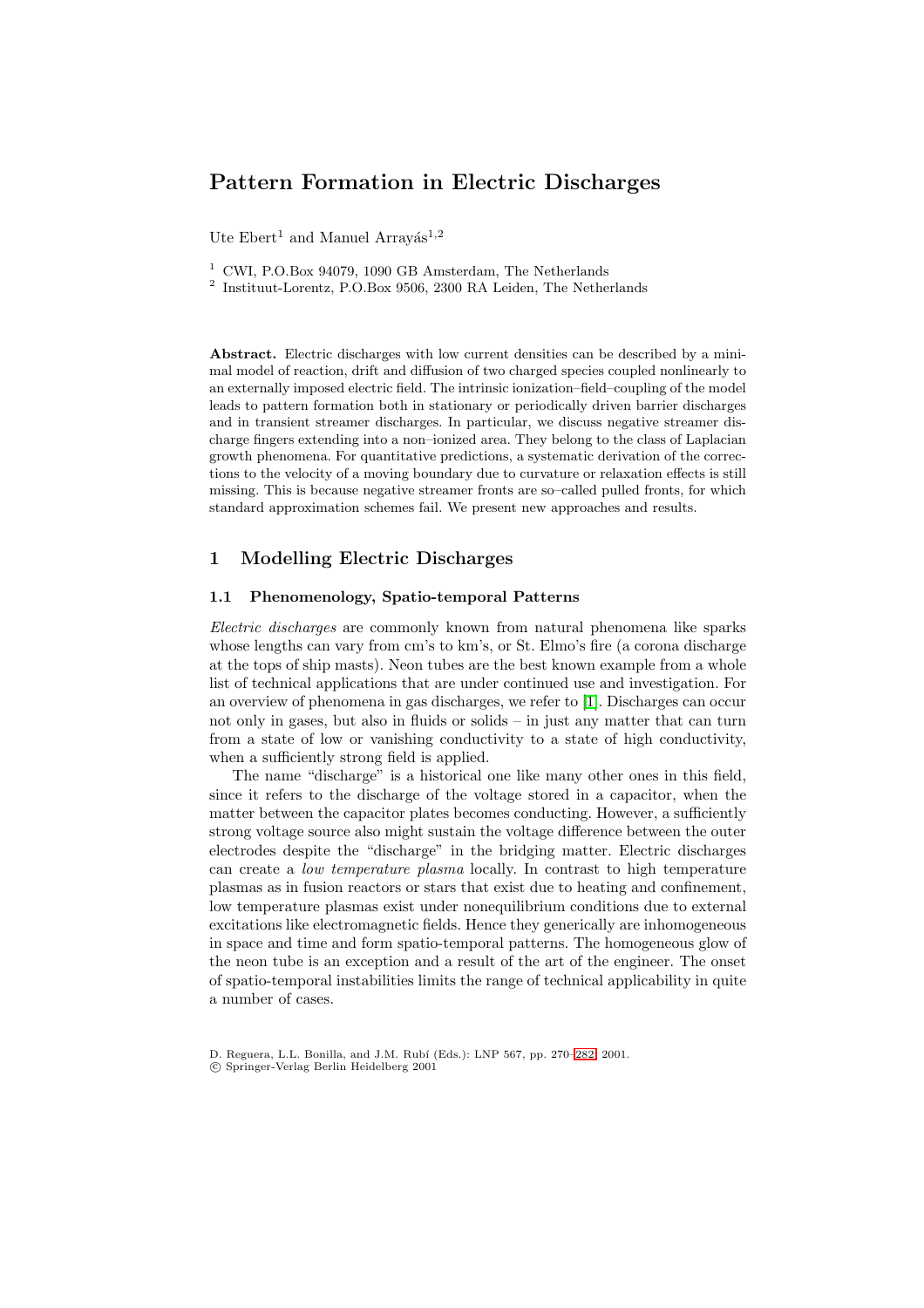# **Pattern Formation in Electric Discharges**

Ute  $Ebert<sup>1</sup>$  and Manuel Arrayás<sup>1,2</sup>

<sup>1</sup> CWI, P.O.Box 94079, 1090 GB Amsterdam, The Netherlands

<sup>2</sup> Instituut-Lorentz, P.O.Box 9506, 2300 RA Leiden, The Netherlands

Abstract. Electric discharges with low current densities can be described by a minimal model of reaction, drift and diffusion of two charged species coupled nonlinearly to an externally imposed electric field. The intrinsic ionization–field–coupling of the model leads to pattern formation both in stationary or periodically driven barrier discharges and in transient streamer discharges. In particular, we discuss negative streamer discharge fingers extending into a non–ionized area. They belong to the class of Laplacian growth phenomena. For quantitative predictions, a systematic derivation of the corrections to the velocity of a moving boundary due to curvature or relaxation effects is still missing. This is because negative streamer fronts are so–called pulled fronts, for which standard approximation schemes fail. We present new approaches and results.

## **1 Modelling Electric Discharges**

### **1.1 Phenomenology, Spatio-temporal Patterns**

Electric discharges are commonly known from natural phenomena like sparks whose lengths can vary from cm's to km's, or St. Elmo's fire (a corona discharge at the tops of ship masts). Neon tubes are the best known example from a whole list of technical applications that are under continued use and investigation. For an overview of phenomena in gas discharges, we refer to [\[1\]](#page-11-0). Discharges can occur not only in gases, but also in fluids or solids – in just any matter that can turn from a state of low or vanishing conductivity to a state of high conductivity, when a sufficiently strong field is applied.

The name "discharge" is a historical one like many other ones in this field, since it refers to the discharge of the voltage stored in a capacitor, when the matter between the capacitor plates becomes conducting. However, a sufficiently strong voltage source also might sustain the voltage difference between the outer electrodes despite the "discharge" in the bridging matter. Electric discharges can create a low temperature plasma locally. In contrast to high temperature plasmas as in fusion reactors or stars that exist due to heating and confinement, low temperature plasmas exist under nonequilibrium conditions due to external excitations like electromagnetic fields. Hence they generically are inhomogeneous in space and time and form spatio-temporal patterns. The homogeneous glow of the neon tube is an exception and a result of the art of the engineer. The onset of spatio-temporal instabilities limits the range of technical applicability in quite a number of cases.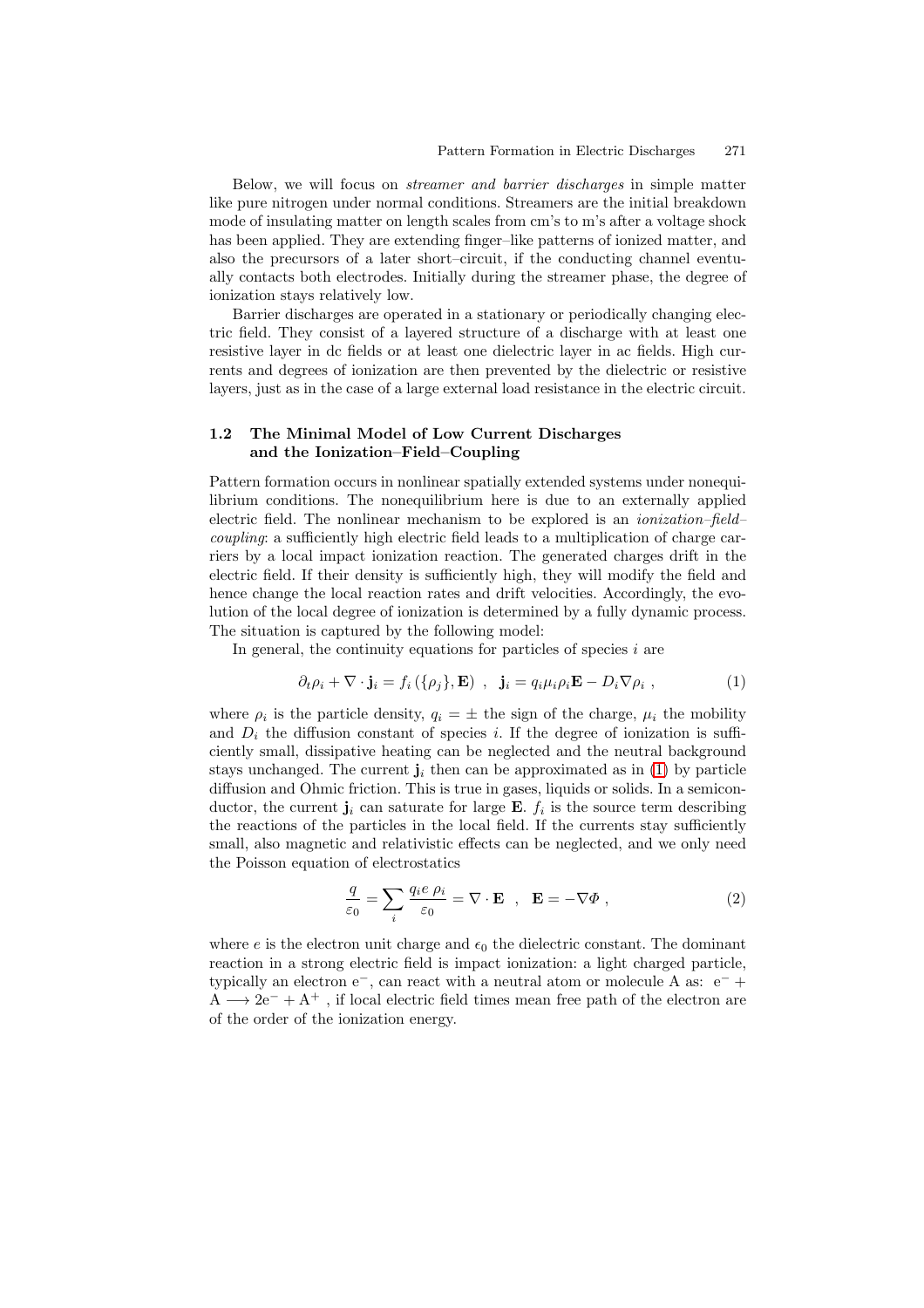<span id="page-1-0"></span>Below, we will focus on streamer and barrier discharges in simple matter like pure nitrogen under normal conditions. Streamers are the initial breakdown mode of insulating matter on length scales from cm's to m's after a voltage shock has been applied. They are extending finger–like patterns of ionized matter, and also the precursors of a later short–circuit, if the conducting channel eventually contacts both electrodes. Initially during the streamer phase, the degree of ionization stays relatively low.

Barrier discharges are operated in a stationary or periodically changing electric field. They consist of a layered structure of a discharge with at least one resistive layer in dc fields or at least one dielectric layer in ac fields. High currents and degrees of ionization are then prevented by the dielectric or resistive layers, just as in the case of a large external load resistance in the electric circuit.

### **1.2 The Minimal Model of Low Current Discharges and the Ionization–Field–Coupling**

Pattern formation occurs in nonlinear spatially extended systems under nonequilibrium conditions. The nonequilibrium here is due to an externally applied electric field. The nonlinear mechanism to be explored is an ionization–field– coupling: a sufficiently high electric field leads to a multiplication of charge carriers by a local impact ionization reaction. The generated charges drift in the electric field. If their density is sufficiently high, they will modify the field and hence change the local reaction rates and drift velocities. Accordingly, the evolution of the local degree of ionization is determined by a fully dynamic process. The situation is captured by the following model:

In general, the continuity equations for particles of species  $i$  are

$$
\partial_t \rho_i + \nabla \cdot \mathbf{j}_i = f_i \left( \{ \rho_j \}, \mathbf{E} \right) , \quad \mathbf{j}_i = q_i \mu_i \rho_i \mathbf{E} - D_i \nabla \rho_i , \tag{1}
$$

where  $\rho_i$  is the particle density,  $q_i = \pm$  the sign of the charge,  $\mu_i$  the mobility and  $D_i$  the diffusion constant of species i. If the degree of ionization is sufficiently small, dissipative heating can be neglected and the neutral background stays unchanged. The current  $\mathbf{j}_i$  then can be approximated as in (1) by particle diffusion and Ohmic friction. This is true in gases, liquids or solids. In a semiconductor, the current  $\mathbf{j}_i$  can saturate for large **E**.  $f_i$  is the source term describing the reactions of the particles in the local field. If the currents stay sufficiently small, also magnetic and relativistic effects can be neglected, and we only need the Poisson equation of electrostatics

$$
\frac{q}{\varepsilon_0} = \sum_i \frac{q_i e \ \rho_i}{\varepsilon_0} = \nabla \cdot \mathbf{E} \ , \ \ \mathbf{E} = -\nabla \Phi \ , \tag{2}
$$

where  $e$  is the electron unit charge and  $\epsilon_0$  the dielectric constant. The dominant reaction in a strong electric field is impact ionization: a light charged particle, typically an electron e<sup>-</sup>, can react with a neutral atom or molecule A as:  $e^-$  +  $A \rightarrow 2e^- + A^+$ , if local electric field times mean free path of the electron are of the order of the ionization energy.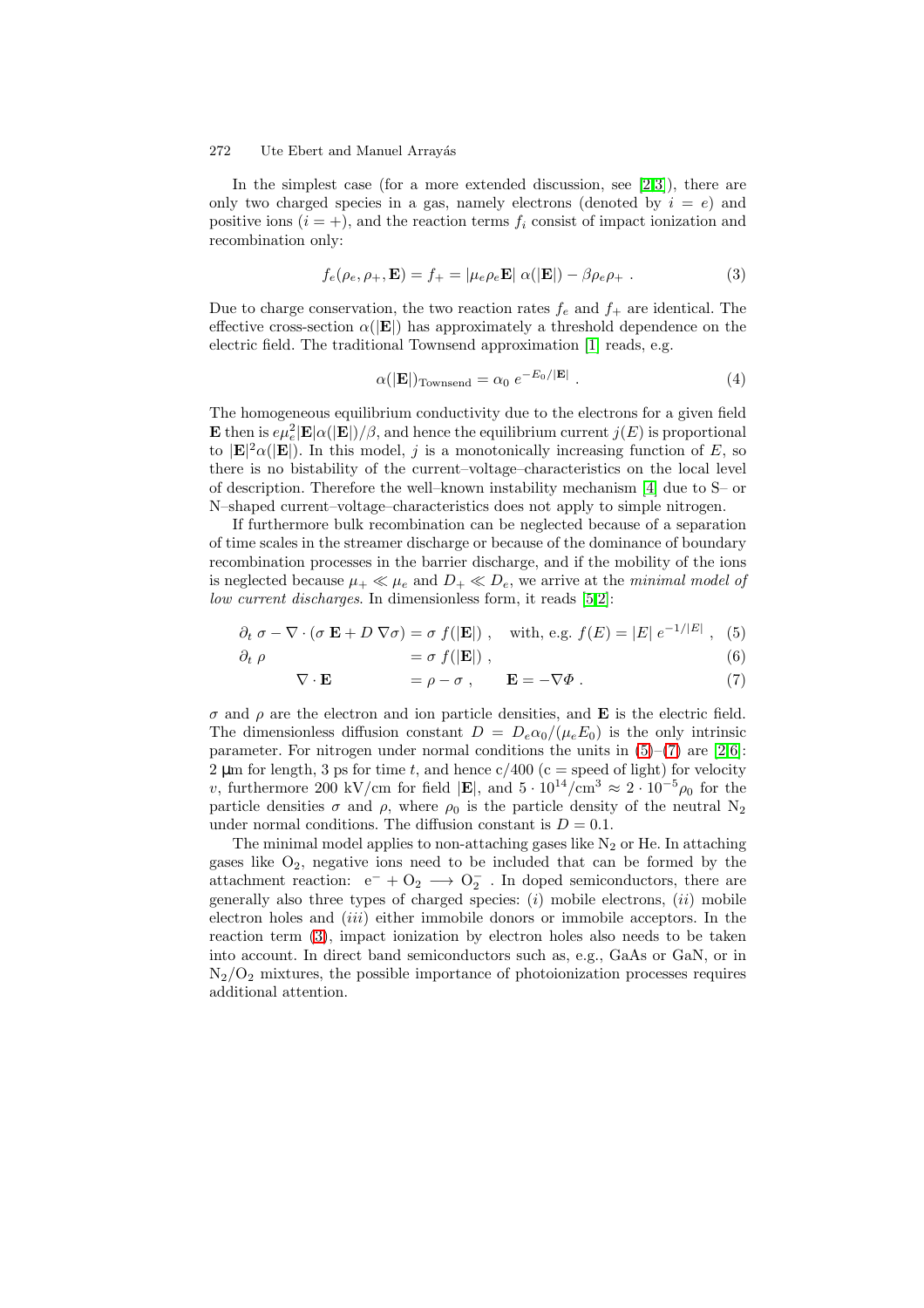<span id="page-2-0"></span>In the simplest case (for a more extended discussion, see  $[2,3]$ ), there are only two charged species in a gas, namely electrons (denoted by  $i = e$ ) and positive ions  $(i = +)$ , and the reaction terms  $f_i$  consist of impact ionization and recombination only:

$$
f_e(\rho_e, \rho_+, \mathbf{E}) = f_+ = |\mu_e \rho_e \mathbf{E}| \alpha(|\mathbf{E}|) - \beta \rho_e \rho_+ . \tag{3}
$$

Due to charge conservation, the two reaction rates  $f_e$  and  $f_{+}$  are identical. The effective cross-section  $\alpha(|\mathbf{E}|)$  has approximately a threshold dependence on the electric field. The traditional Townsend approximation [\[1\]](#page-11-0) reads, e.g.

$$
\alpha(|\mathbf{E}|)_{\text{Townsend}} = \alpha_0 \ e^{-E_0/|\mathbf{E}|} \ . \tag{4}
$$

The homogeneous equilibrium conductivity due to the electrons for a given field **E** then is  $e\mu_e^2|\mathbf{E}|\alpha(|\mathbf{E}|)/\beta$ , and hence the equilibrium current  $j(E)$  is proportional to  $|\mathbf{E}|^2 \alpha(|\mathbf{E}|)$ . In this model, j is a monotonically increasing function of E, so there is no bistability of the current–voltage–characteristics on the local level of description. Therefore the well–known instability mechanism [\[4\]](#page-11-0) due to S– or N–shaped current–voltage–characteristics does not apply to simple nitrogen.

If furthermore bulk recombination can be neglected because of a separation of time scales in the streamer discharge or because of the dominance of boundary recombination processes in the barrier discharge, and if the mobility of the ions is neglected because  $\mu_+ \ll \mu_e$  and  $D_+ \ll D_e$ , we arrive at the minimal model of low current discharges. In dimensionless form, it reads [\[5,2\]](#page-11-0):

$$
\partial_t \sigma - \nabla \cdot (\sigma \mathbf{E} + D \nabla \sigma) = \sigma f(|\mathbf{E}|), \text{ with, e.g. } f(E) = |E| e^{-1/|E|}, (5)
$$

$$
\partial_t \rho = \sigma f(|\mathbf{E}|) \tag{6}
$$

$$
\nabla \cdot \mathbf{E} = \rho - \sigma \,, \qquad \mathbf{E} = -\nabla \Phi \,. \tag{7}
$$

σ and ρ are the electron and ion particle densities, and **E** is the electric field. The dimensionless diffusion constant  $D = D_e \alpha_0 / (\mu_e E_0)$  is the only intrinsic parameter. For nitrogen under normal conditions the units in  $(5)-(7)$  are  $[2,6]$ : 2  $\mu$ m for length, 3 ps for time t, and hence c/400 (c = speed of light) for velocity v, furthermore 200 kV/cm for field  $|\mathbf{E}|$ , and  $5 \cdot 10^{14}/\text{cm}^3 \approx 2 \cdot 10^{-5} \rho_0$  for the particle densities  $\sigma$  and  $\rho$ , where  $\rho_0$  is the particle density of the neutral N<sub>2</sub> under normal conditions. The diffusion constant is  $D = 0.1$ .

The minimal model applies to non-attaching gases like  $N_2$  or He. In attaching gases like  $O_2$ , negative ions need to be included that can be formed by the attachment reaction:  $e^- + 0_2 \rightarrow 0_2^-$ . In doped semiconductors, there are generally also three types of charged species:  $(i)$  mobile electrons,  $(ii)$  mobile electron holes and *(iii)* either immobile donors or immobile acceptors. In the reaction term [\(3\)](#page-1-0), impact ionization by electron holes also needs to be taken into account. In direct band semiconductors such as, e.g., GaAs or GaN, or in  $N_2/O_2$  mixtures, the possible importance of photoionization processes requires additional attention.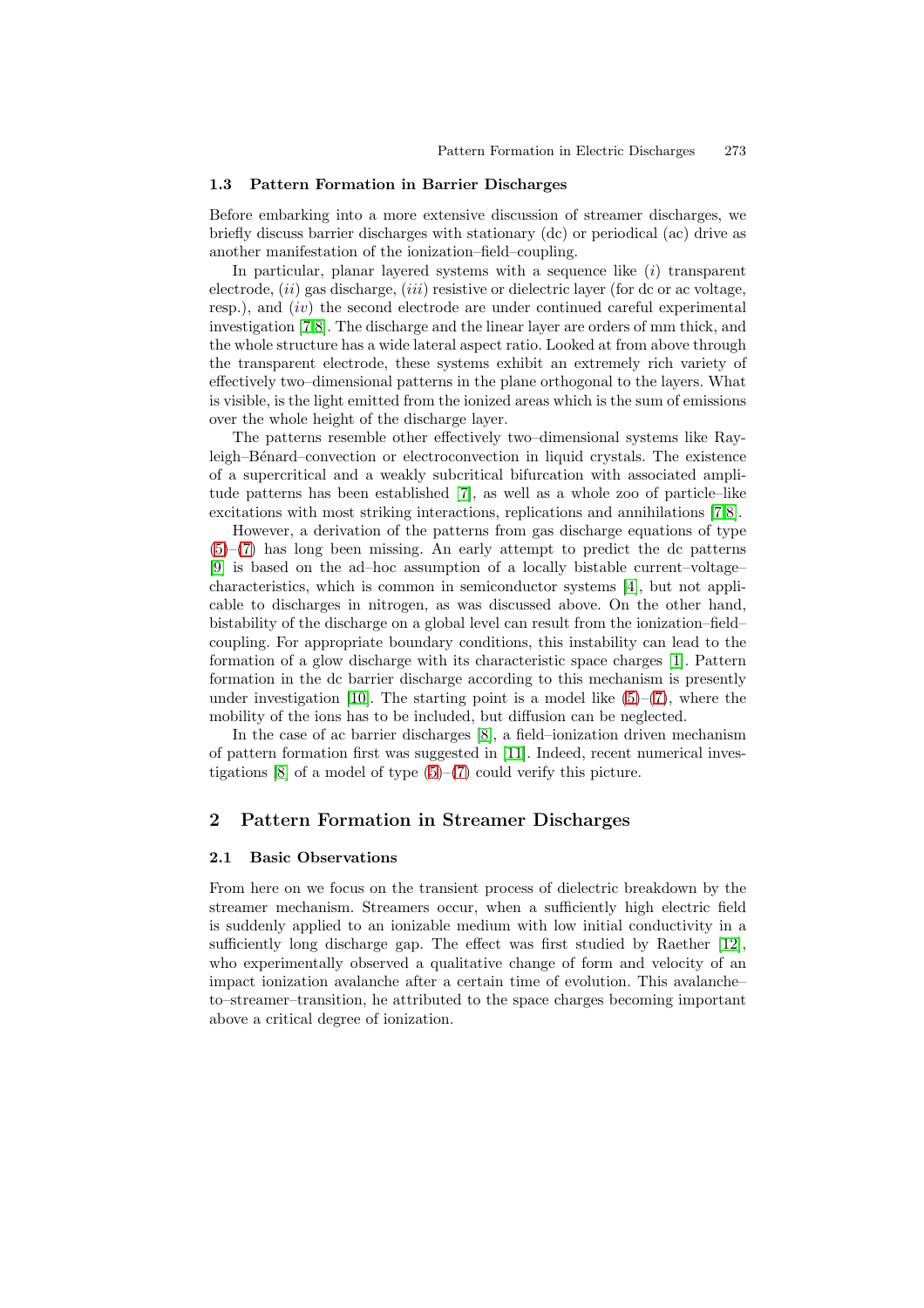#### **1.3 Pattern Formation in Barrier Discharges**

Before embarking into a more extensive discussion of streamer discharges, we briefly discuss barrier discharges with stationary (dc) or periodical (ac) drive as another manifestation of the ionization–field–coupling.

In particular, planar layered systems with a sequence like  $(i)$  transparent electrode,  $(ii)$  gas discharge,  $(iii)$  resistive or dielectric layer (for dc or ac voltage, resp.), and  $(iv)$  the second electrode are under continued careful experimental investigation [\[7,8\]](#page-11-0). The discharge and the linear layer are orders of mm thick, and the whole structure has a wide lateral aspect ratio. Looked at from above through the transparent electrode, these systems exhibit an extremely rich variety of effectively two–dimensional patterns in the plane orthogonal to the layers. What is visible, is the light emitted from the ionized areas which is the sum of emissions over the whole height of the discharge layer.

The patterns resemble other effectively two–dimensional systems like Rayleigh–B´enard–convection or electroconvection in liquid crystals. The existence of a supercritical and a weakly subcritical bifurcation with associated amplitude patterns has been established [\[7\]](#page-11-0), as well as a whole zoo of particle–like excitations with most striking interactions, replications and annihilations [\[7,8\]](#page-11-0).

However, a derivation of the patterns from gas discharge equations of type  $(5)$ – $(7)$  has long been missing. An early attempt to predict the dc patterns [\[9\]](#page-12-0) is based on the ad–hoc assumption of a locally bistable current–voltage– characteristics, which is common in semiconductor systems [\[4\]](#page-11-0), but not applicable to discharges in nitrogen, as was discussed above. On the other hand, bistability of the discharge on a global level can result from the ionization–field– coupling. For appropriate boundary conditions, this instability can lead to the formation of a glow discharge with its characteristic space charges [\[1\]](#page-11-0). Pattern formation in the dc barrier discharge according to this mechanism is presently under investigation [\[10\]](#page-12-0). The starting point is a model like  $(5)-(7)$  $(5)-(7)$  $(5)-(7)$ , where the mobility of the ions has to be included, but diffusion can be neglected.

In the case of ac barrier discharges [\[8\]](#page-11-0), a field–ionization driven mechanism of pattern formation first was suggested in [\[11\]](#page-12-0). Indeed, recent numerical investigations [\[8\]](#page-11-0) of a model of type [\(5\)](#page-2-0)–[\(7\)](#page-2-0) could verify this picture.

### **2 Pattern Formation in Streamer Discharges**

### **2.1 Basic Observations**

From here on we focus on the transient process of dielectric breakdown by the streamer mechanism. Streamers occur, when a sufficiently high electric field is suddenly applied to an ionizable medium with low initial conductivity in a sufficiently long discharge gap. The effect was first studied by Raether [\[12\]](#page-12-0), who experimentally observed a qualitative change of form and velocity of an impact ionization avalanche after a certain time of evolution. This avalanche– to–streamer–transition, he attributed to the space charges becoming important above a critical degree of ionization.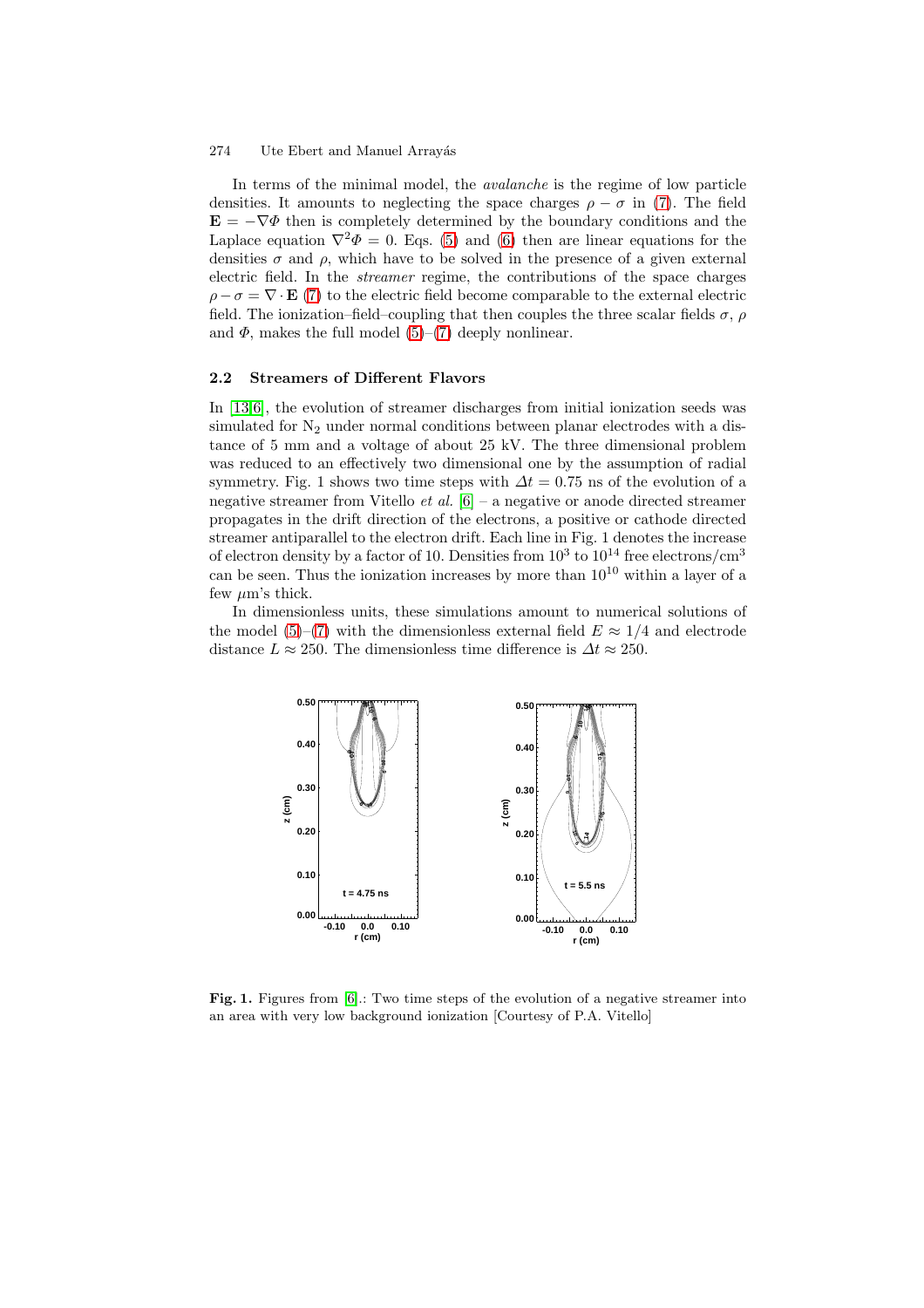In terms of the minimal model, the *avalanche* is the regime of low particle densities. It amounts to neglecting the space charges  $\rho - \sigma$  in [\(7\)](#page-2-0). The field  $\mathbf{E} = -\nabla \Phi$  then is completely determined by the boundary conditions and the Laplace equation  $\nabla^2 \Phi = 0$ . Eqs. [\(5\)](#page-2-0) and [\(6\)](#page-2-0) then are linear equations for the densities  $\sigma$  and  $\rho$ , which have to be solved in the presence of a given external electric field. In the streamer regime, the contributions of the space charges  $\rho - \sigma = \nabla \cdot \mathbf{E}$  [\(7\)](#page-2-0) to the electric field become comparable to the external electric field. The ionization–field–coupling that then couples the three scalar fields  $\sigma$ ,  $\rho$ and  $\Phi$ , makes the full model [\(5\)](#page-2-0)–[\(7\)](#page-2-0) deeply nonlinear.

#### **2.2 Streamers of Different Flavors**

In [\[13](#page-12-0)[,6\]](#page-11-0), the evolution of streamer discharges from initial ionization seeds was simulated for  $N_2$  under normal conditions between planar electrodes with a distance of 5 mm and a voltage of about 25 kV. The three dimensional problem was reduced to an effectively two dimensional one by the assumption of radial symmetry. Fig. 1 shows two time steps with  $\Delta t = 0.75$  ns of the evolution of a negative streamer from Vitello *et al.*  $[6]$  – a negative or anode directed streamer propagates in the drift direction of the electrons, a positive or cathode directed streamer antiparallel to the electron drift. Each line in Fig. 1 denotes the increase of electron density by a factor of 10. Densities from  $10^3$  to  $10^{14}$  free electrons/cm<sup>3</sup> can be seen. Thus the ionization increases by more than  $10^{10}$  within a layer of a few  $\mu$ m's thick.

In dimensionless units, these simulations amount to numerical solutions of the model [\(5\)](#page-2-0)–[\(7\)](#page-2-0) with the dimensionless external field  $E \approx 1/4$  and electrode distance  $L \approx 250$ . The dimensionless time difference is  $\Delta t \approx 250$ .



**Fig. 1.** Figures from [\[6\]](#page-11-0).: Two time steps of the evolution of a negative streamer into an area with very low background ionization [Courtesy of P.A. Vitello]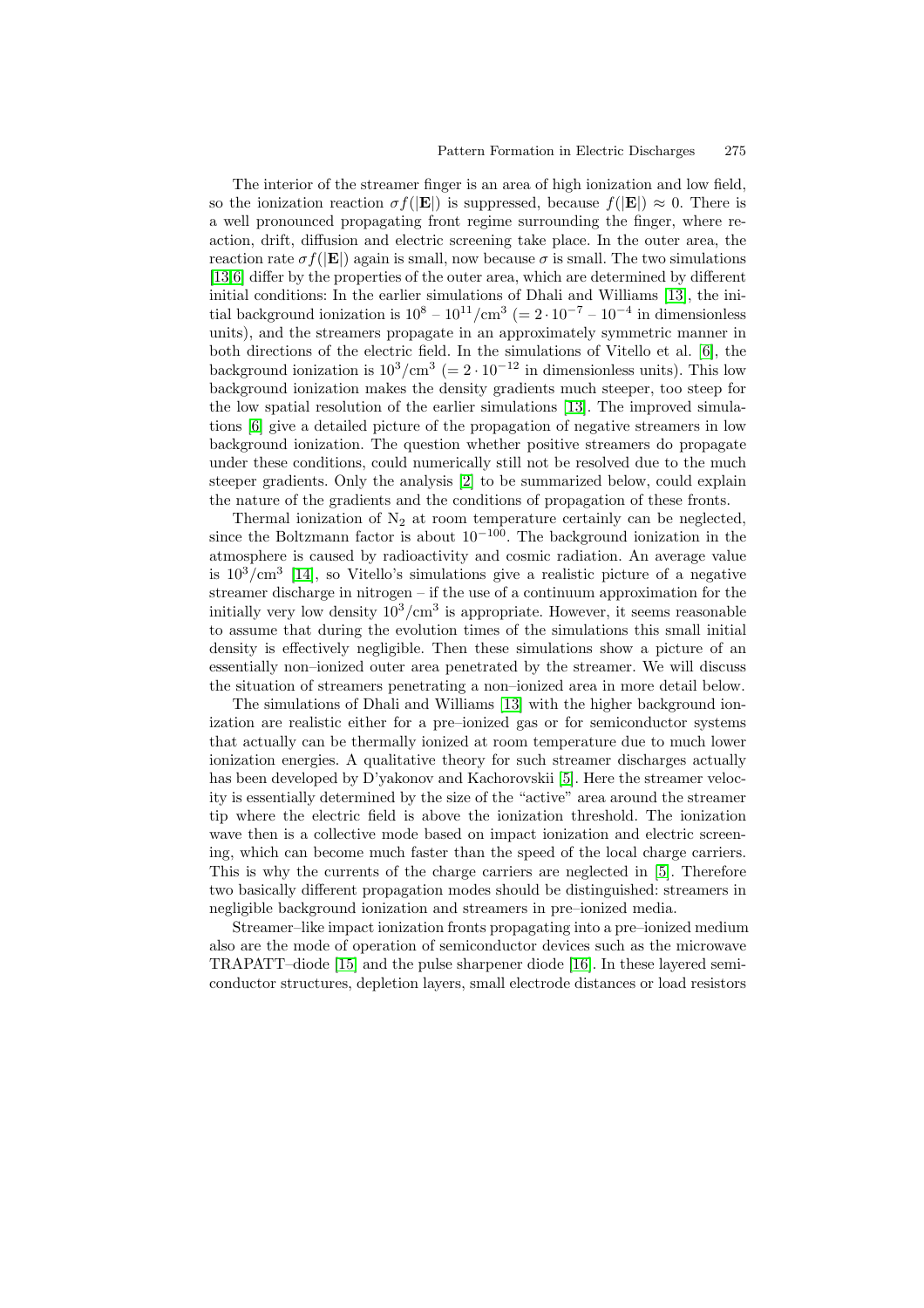The interior of the streamer finger is an area of high ionization and low field, so the ionization reaction  $\sigma f(|\mathbf{E}|)$  is suppressed, because  $f(|\mathbf{E}|) \approx 0$ . There is a well pronounced propagating front regime surrounding the finger, where reaction, drift, diffusion and electric screening take place. In the outer area, the reaction rate  $\sigma f(|\mathbf{E}|)$  again is small, now because  $\sigma$  is small. The two simulations [\[13](#page-12-0)[,6\]](#page-11-0) differ by the properties of the outer area, which are determined by different initial conditions: In the earlier simulations of Dhali and Williams [\[13\]](#page-12-0), the initial background ionization is  $10^8 - 10^{11}/\text{cm}^3$  (=  $2 \cdot 10^{-7} - 10^{-4}$  in dimensionless units), and the streamers propagate in an approximately symmetric manner in both directions of the electric field. In the simulations of Vitello et al. [\[6\]](#page-11-0), the background ionization is  $10^3/\text{cm}^3$  (=  $2 \cdot 10^{-12}$  in dimensionless units). This low background ionization makes the density gradients much steeper, too steep for the low spatial resolution of the earlier simulations [\[13\]](#page-12-0). The improved simulations [\[6\]](#page-11-0) give a detailed picture of the propagation of negative streamers in low background ionization. The question whether positive streamers do propagate under these conditions, could numerically still not be resolved due to the much steeper gradients. Only the analysis [\[2\]](#page-11-0) to be summarized below, could explain the nature of the gradients and the conditions of propagation of these fronts.

Thermal ionization of  $N_2$  at room temperature certainly can be neglected, since the Boltzmann factor is about  $10^{-100}$ . The background ionization in the atmosphere is caused by radioactivity and cosmic radiation. An average value is  $10^3/\text{cm}^3$  [\[14\]](#page-12-0), so Vitello's simulations give a realistic picture of a negative streamer discharge in nitrogen – if the use of a continuum approximation for the initially very low density  $10^3/\text{cm}^3$  is appropriate. However, it seems reasonable to assume that during the evolution times of the simulations this small initial density is effectively negligible. Then these simulations show a picture of an essentially non–ionized outer area penetrated by the streamer. We will discuss the situation of streamers penetrating a non–ionized area in more detail below.

The simulations of Dhali and Williams [\[13\]](#page-12-0) with the higher background ionization are realistic either for a pre–ionized gas or for semiconductor systems that actually can be thermally ionized at room temperature due to much lower ionization energies. A qualitative theory for such streamer discharges actually has been developed by D'yakonov and Kachorovskii [\[5\]](#page-11-0). Here the streamer velocity is essentially determined by the size of the "active" area around the streamer tip where the electric field is above the ionization threshold. The ionization wave then is a collective mode based on impact ionization and electric screening, which can become much faster than the speed of the local charge carriers. This is why the currents of the charge carriers are neglected in [\[5\]](#page-11-0). Therefore two basically different propagation modes should be distinguished: streamers in negligible background ionization and streamers in pre–ionized media.

Streamer–like impact ionization fronts propagating into a pre–ionized medium also are the mode of operation of semiconductor devices such as the microwave TRAPATT–diode [\[15\]](#page-12-0) and the pulse sharpener diode [\[16\]](#page-12-0). In these layered semiconductor structures, depletion layers, small electrode distances or load resistors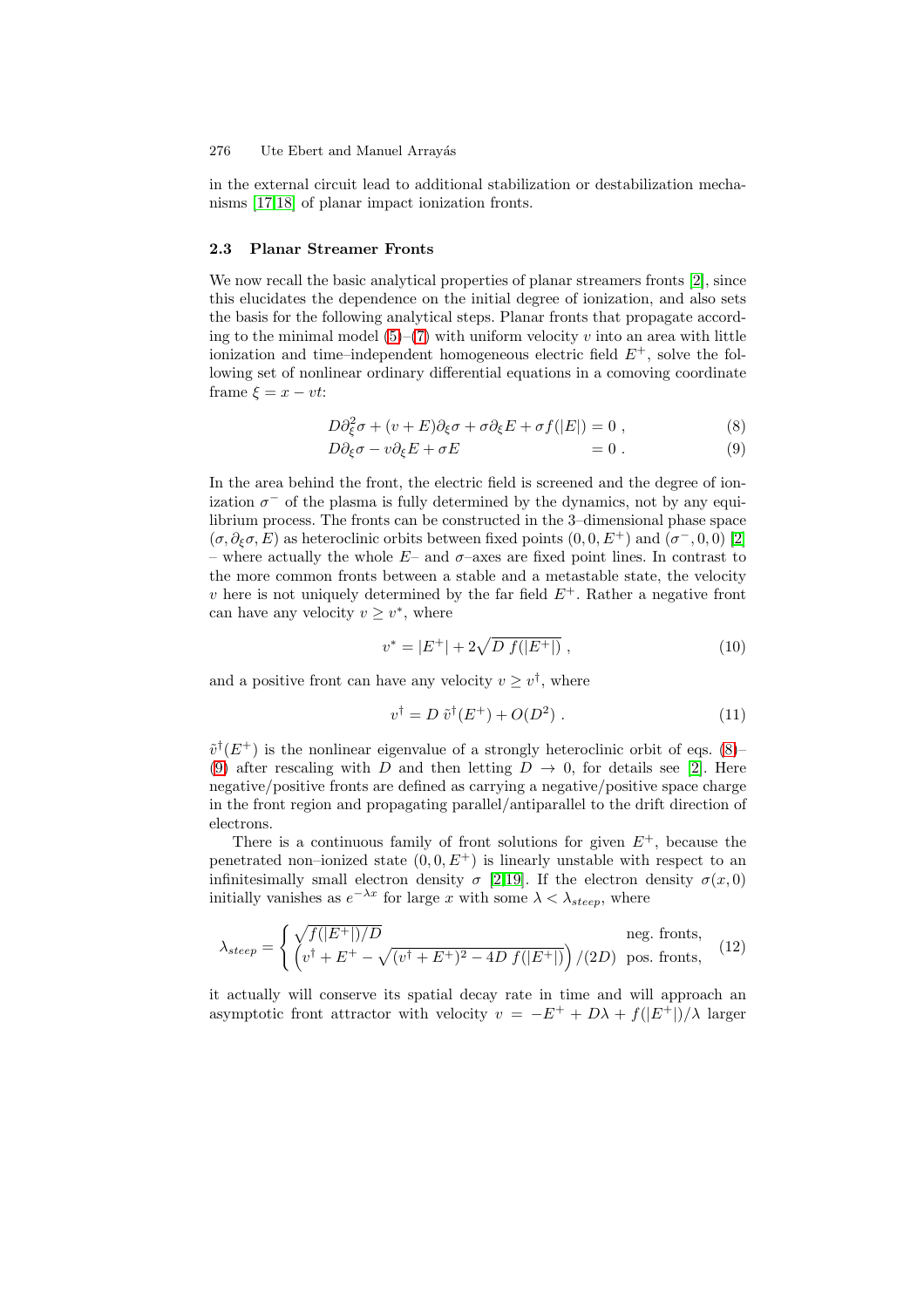<span id="page-6-0"></span>in the external circuit lead to additional stabilization or destabilization mechanisms [\[17,18\]](#page-12-0) of planar impact ionization fronts.

### **2.3 Planar Streamer Fronts**

We now recall the basic analytical properties of planar streamers fronts [\[2\]](#page-11-0), since this elucidates the dependence on the initial degree of ionization, and also sets the basis for the following analytical steps. Planar fronts that propagate according to the minimal model  $(5)-(7)$  $(5)-(7)$  $(5)-(7)$  with uniform velocity v into an area with little ionization and time–independent homogeneous electric field  $E^+$ , solve the following set of nonlinear ordinary differential equations in a comoving coordinate frame  $\xi = x - vt$ :

$$
D\partial_{\xi}^{2}\sigma + (v+E)\partial_{\xi}\sigma + \sigma\partial_{\xi}E + \sigma f(|E|) = 0 , \qquad (8)
$$

$$
D\partial_{\xi}\sigma - v\partial_{\xi}E + \sigma E = 0.
$$
 (9)

In the area behind the front, the electric field is screened and the degree of ionization  $\sigma^-$  of the plasma is fully determined by the dynamics, not by any equilibrium process. The fronts can be constructed in the 3–dimensional phase space  $(\sigma, \partial_{\xi}\sigma, E)$  as heteroclinic orbits between fixed points  $(0, 0, E^+)$  and  $(\sigma^-, 0, 0)$  [\[2\]](#page-11-0) – where actually the whole  $E-$  and  $\sigma$ –axes are fixed point lines. In contrast to the more common fronts between a stable and a metastable state, the velocity v here is not uniquely determined by the far field  $E^+$ . Rather a negative front can have any velocity  $v \geq v^*$ , where

$$
v^* = |E^+| + 2\sqrt{D f(|E^+|)}, \qquad (10)
$$

and a positive front can have any velocity  $v \geq v^{\dagger}$ , where

$$
v^{\dagger} = D \tilde{v}^{\dagger} (E^+) + O(D^2) . \qquad (11)
$$

 $\tilde{v}^{\dagger}(E^+)$  is the nonlinear eigenvalue of a strongly heteroclinic orbit of eqs. (8)– (9) after rescaling with D and then letting  $D \to 0$ , for details see [\[2\]](#page-11-0). Here negative/positive fronts are defined as carrying a negative/positive space charge in the front region and propagating parallel/antiparallel to the drift direction of electrons.

There is a continuous family of front solutions for given  $E^+$ , because the penetrated non–ionized state  $(0, 0, E^+)$  is linearly unstable with respect to an infinitesimally small electron density  $\sigma$  [\[2,](#page-11-0)[19\]](#page-12-0). If the electron density  $\sigma(x,0)$ initially vanishes as  $e^{-\lambda x}$  for large x with some  $\lambda < \lambda_{steep}$ , where

$$
\lambda_{steep} = \begin{cases} \sqrt{f(|E^+|)/D} & \text{neg. fronts,} \\ \left(v^\dagger + E^+ - \sqrt{(v^\dagger + E^+)^2 - 4D f(|E^+|)}\right) / (2D) & \text{pos. fronts,} \end{cases}
$$
(12)

it actually will conserve its spatial decay rate in time and will approach an asymptotic front attractor with velocity  $v = -E^+ + D\lambda + f(|E^+|)/\lambda$  larger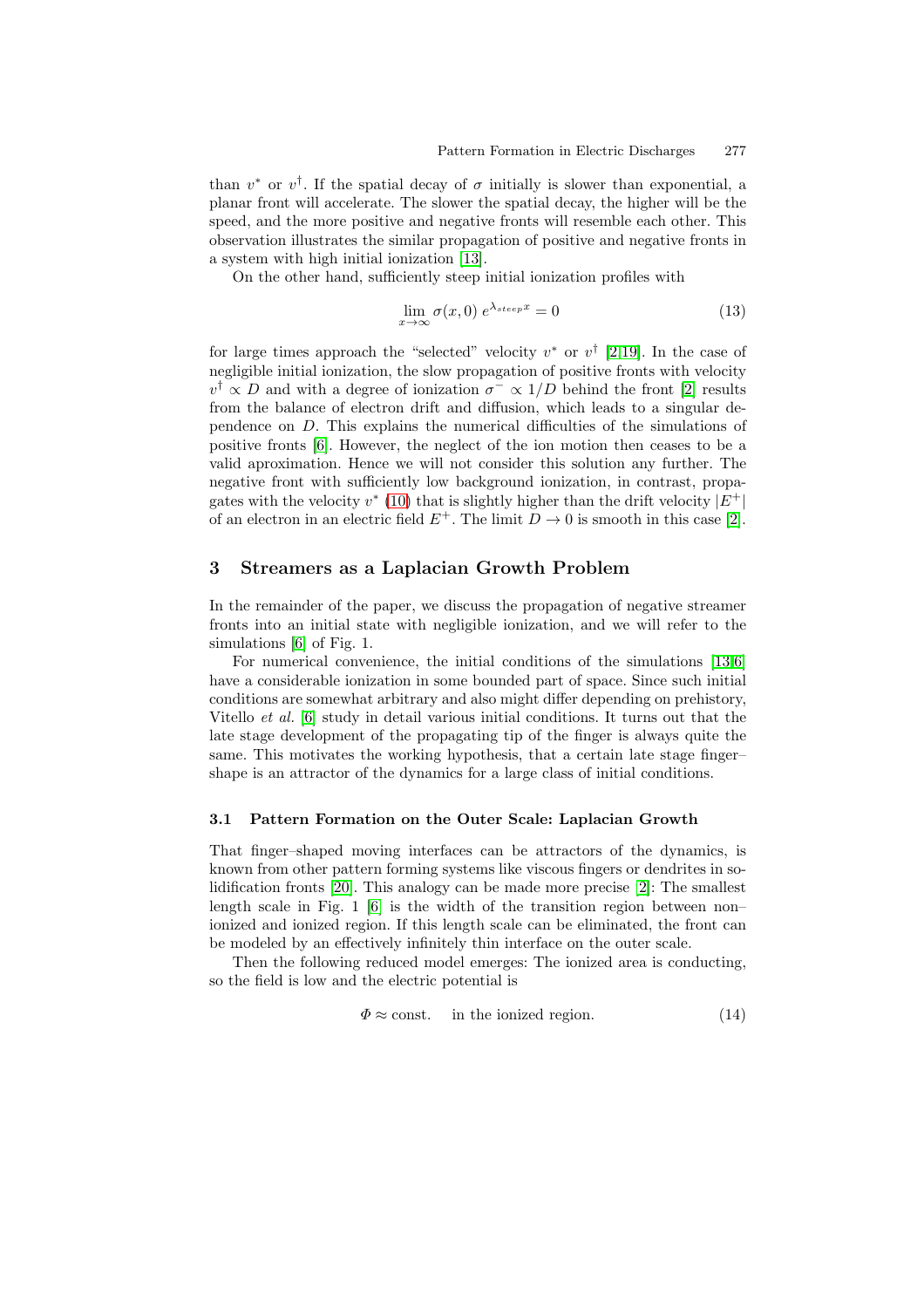<span id="page-7-0"></span>than  $v^*$  or  $v^{\dagger}$ . If the spatial decay of  $\sigma$  initially is slower than exponential, a planar front will accelerate. The slower the spatial decay, the higher will be the speed, and the more positive and negative fronts will resemble each other. This observation illustrates the similar propagation of positive and negative fronts in a system with high initial ionization [\[13\]](#page-12-0).

On the other hand, sufficiently steep initial ionization profiles with

$$
\lim_{x \to \infty} \sigma(x, 0) e^{\lambda_{steep} x} = 0 \tag{13}
$$

for large times approach the "selected" velocity  $v^*$  or  $v^{\dagger}$  [\[2,](#page-11-0)[19\]](#page-12-0). In the case of negligible initial ionization, the slow propagation of positive fronts with velocity  $v^{\dagger} \propto D$  and with a degree of ionization  $\sigma^- \propto 1/D$  behind the front [\[2\]](#page-11-0) results from the balance of electron drift and diffusion, which leads to a singular dependence on D. This explains the numerical difficulties of the simulations of positive fronts [\[6\]](#page-11-0). However, the neglect of the ion motion then ceases to be a valid aproximation. Hence we will not consider this solution any further. The negative front with sufficiently low background ionization, in contrast, propagates with the velocity  $v^*$  [\(10\)](#page-6-0) that is slightly higher than the drift velocity  $|E^+|$ of an electron in an electric field  $E^+$ . The limit  $D \to 0$  is smooth in this case [\[2\]](#page-11-0).

### **3 Streamers as a Laplacian Growth Problem**

In the remainder of the paper, we discuss the propagation of negative streamer fronts into an initial state with negligible ionization, and we will refer to the simulations [\[6\]](#page-11-0) of Fig. 1.

For numerical convenience, the initial conditions of the simulations [\[13](#page-12-0)[,6\]](#page-11-0) have a considerable ionization in some bounded part of space. Since such initial conditions are somewhat arbitrary and also might differ depending on prehistory, Vitello *et al.* [\[6\]](#page-11-0) study in detail various initial conditions. It turns out that the late stage development of the propagating tip of the finger is always quite the same. This motivates the working hypothesis, that a certain late stage finger– shape is an attractor of the dynamics for a large class of initial conditions.

### **3.1 Pattern Formation on the Outer Scale: Laplacian Growth**

That finger–shaped moving interfaces can be attractors of the dynamics, is known from other pattern forming systems like viscous fingers or dendrites in solidification fronts [\[20\]](#page-12-0). This analogy can be made more precise [\[2\]](#page-11-0): The smallest length scale in Fig. 1 [\[6\]](#page-11-0) is the width of the transition region between non– ionized and ionized region. If this length scale can be eliminated, the front can be modeled by an effectively infinitely thin interface on the outer scale.

Then the following reduced model emerges: The ionized area is conducting, so the field is low and the electric potential is

$$
\Phi \approx \text{const.} \quad \text{in the ionized region.} \tag{14}
$$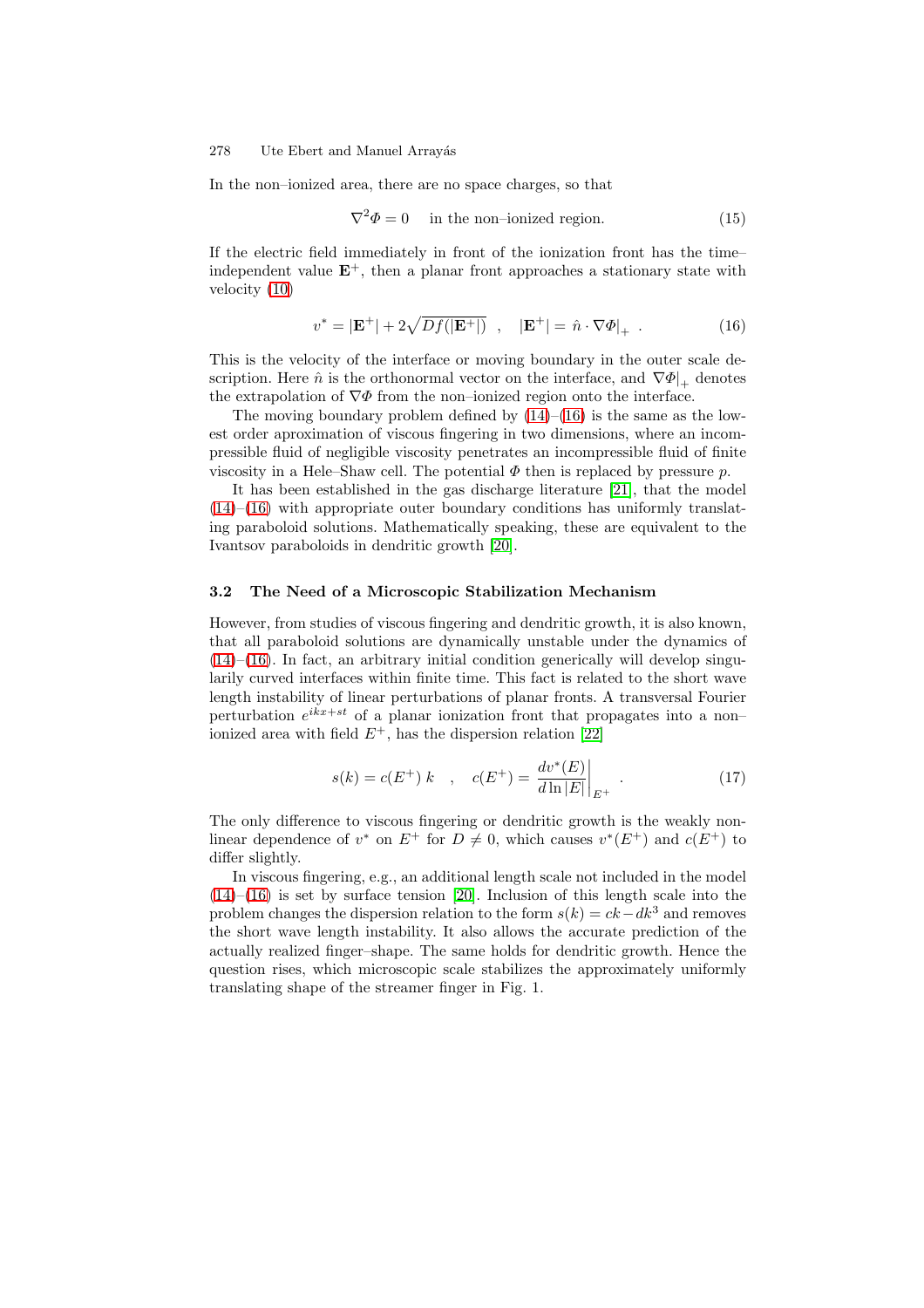<span id="page-8-0"></span>In the non–ionized area, there are no space charges, so that

$$
\nabla^2 \Phi = 0 \quad \text{in the non-ionized region.} \tag{15}
$$

If the electric field immediately in front of the ionization front has the time– independent value  $E^+$ , then a planar front approaches a stationary state with velocity [\(10\)](#page-6-0)

$$
v^* = |\mathbf{E}^+| + 2\sqrt{Df(|\mathbf{E}^+|)} , \quad |\mathbf{E}^+| = \hat{n} \cdot \nabla \Phi|_+ . \tag{16}
$$

This is the velocity of the interface or moving boundary in the outer scale description. Here  $\hat{n}$  is the orthonormal vector on the interface, and  $\nabla \Phi|_+$  denotes the extrapolation of  $\nabla \Phi$  from the non–ionized region onto the interface.

The moving boundary problem defined by  $(14)$ – $(16)$  is the same as the lowest order aproximation of viscous fingering in two dimensions, where an incompressible fluid of negligible viscosity penetrates an incompressible fluid of finite viscosity in a Hele–Shaw cell. The potential  $\Phi$  then is replaced by pressure p.

It has been established in the gas discharge literature [\[21\]](#page-12-0), that the model [\(14\)](#page-7-0)–(16) with appropriate outer boundary conditions has uniformly translating paraboloid solutions. Mathematically speaking, these are equivalent to the Ivantsov paraboloids in dendritic growth [\[20\]](#page-12-0).

#### **3.2 The Need of a Microscopic Stabilization Mechanism**

However, from studies of viscous fingering and dendritic growth, it is also known, that all paraboloid solutions are dynamically unstable under the dynamics of  $(14)$ – $(16)$ . In fact, an arbitrary initial condition generically will develop singularily curved interfaces within finite time. This fact is related to the short wave length instability of linear perturbations of planar fronts. A transversal Fourier perturbation  $e^{i\hat{k}x+st}$  of a planar ionization front that propagates into a non– ionized area with field  $E^+$ , has the dispersion relation [\[22\]](#page-12-0)

$$
s(k) = c(E^{+}) k \quad , \quad c(E^{+}) = \frac{dv^{*}(E)}{d\ln|E|}\Big|_{E^{+}} \quad . \tag{17}
$$

The only difference to viscous fingering or dendritic growth is the weakly nonlinear dependence of  $v^*$  on  $E^+$  for  $D \neq 0$ , which causes  $v^*(E^+)$  and  $c(E^+)$  to differ slightly.

In viscous fingering, e.g., an additional length scale not included in the model  $(14)–(16)$  $(14)–(16)$  is set by surface tension [\[20\]](#page-12-0). Inclusion of this length scale into the problem changes the dispersion relation to the form  $s(k) = ck - dk^3$  and removes the short wave length instability. It also allows the accurate prediction of the actually realized finger–shape. The same holds for dendritic growth. Hence the question rises, which microscopic scale stabilizes the approximately uniformly translating shape of the streamer finger in Fig. 1.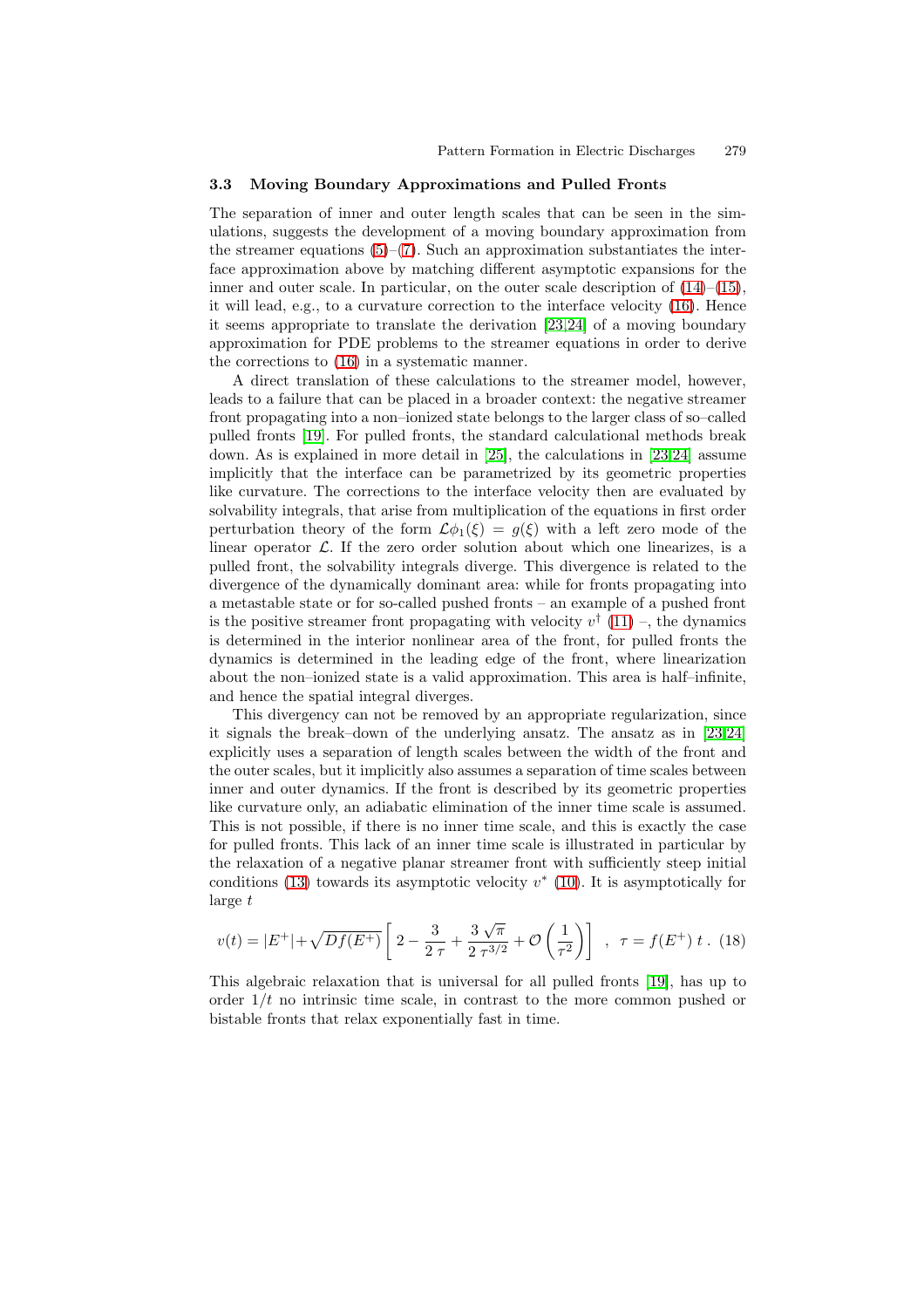#### <span id="page-9-0"></span>**3.3 Moving Boundary Approximations and Pulled Fronts**

The separation of inner and outer length scales that can be seen in the simulations, suggests the development of a moving boundary approximation from the streamer equations  $(5)-(7)$  $(5)-(7)$  $(5)-(7)$ . Such an approximation substantiates the interface approximation above by matching different asymptotic expansions for the inner and outer scale. In particular, on the outer scale description of  $(14)$ – $(15)$ , it will lead, e.g., to a curvature correction to the interface velocity [\(16\)](#page-8-0). Hence it seems appropriate to translate the derivation [\[23,24\]](#page-12-0) of a moving boundary approximation for PDE problems to the streamer equations in order to derive the corrections to [\(16\)](#page-8-0) in a systematic manner.

A direct translation of these calculations to the streamer model, however, leads to a failure that can be placed in a broader context: the negative streamer front propagating into a non–ionized state belongs to the larger class of so–called pulled fronts [\[19\]](#page-12-0). For pulled fronts, the standard calculational methods break down. As is explained in more detail in [\[25\]](#page-12-0), the calculations in [\[23,24\]](#page-12-0) assume implicitly that the interface can be parametrized by its geometric properties like curvature. The corrections to the interface velocity then are evaluated by solvability integrals, that arise from multiplication of the equations in first order perturbation theory of the form  $\mathcal{L}\phi_1(\xi) = q(\xi)$  with a left zero mode of the linear operator  $\mathcal{L}$ . If the zero order solution about which one linearizes, is a pulled front, the solvability integrals diverge. This divergence is related to the divergence of the dynamically dominant area: while for fronts propagating into a metastable state or for so-called pushed fronts – an example of a pushed front is the positive streamer front propagating with velocity  $v^{\dagger}$  [\(11\)](#page-6-0) –, the dynamics is determined in the interior nonlinear area of the front, for pulled fronts the dynamics is determined in the leading edge of the front, where linearization about the non–ionized state is a valid approximation. This area is half–infinite, and hence the spatial integral diverges.

This divergency can not be removed by an appropriate regularization, since it signals the break–down of the underlying ansatz. The ansatz as in [\[23,24\]](#page-12-0) explicitly uses a separation of length scales between the width of the front and the outer scales, but it implicitly also assumes a separation of time scales between inner and outer dynamics. If the front is described by its geometric properties like curvature only, an adiabatic elimination of the inner time scale is assumed. This is not possible, if there is no inner time scale, and this is exactly the case for pulled fronts. This lack of an inner time scale is illustrated in particular by the relaxation of a negative planar streamer front with sufficiently steep initial conditions [\(13\)](#page-7-0) towards its asymptotic velocity  $v^*$  [\(10\)](#page-6-0). It is asymptotically for large t

$$
v(t) = |E^+| + \sqrt{Df(E^+)} \left[ 2 - \frac{3}{2\tau} + \frac{3\sqrt{\pi}}{2\tau^{3/2}} + \mathcal{O}\left(\frac{1}{\tau^2}\right) \right] , \quad \tau = f(E^+) \ t \ . \tag{18}
$$

This algebraic relaxation that is universal for all pulled fronts [\[19\]](#page-12-0), has up to order  $1/t$  no intrinsic time scale, in contrast to the more common pushed or bistable fronts that relax exponentially fast in time.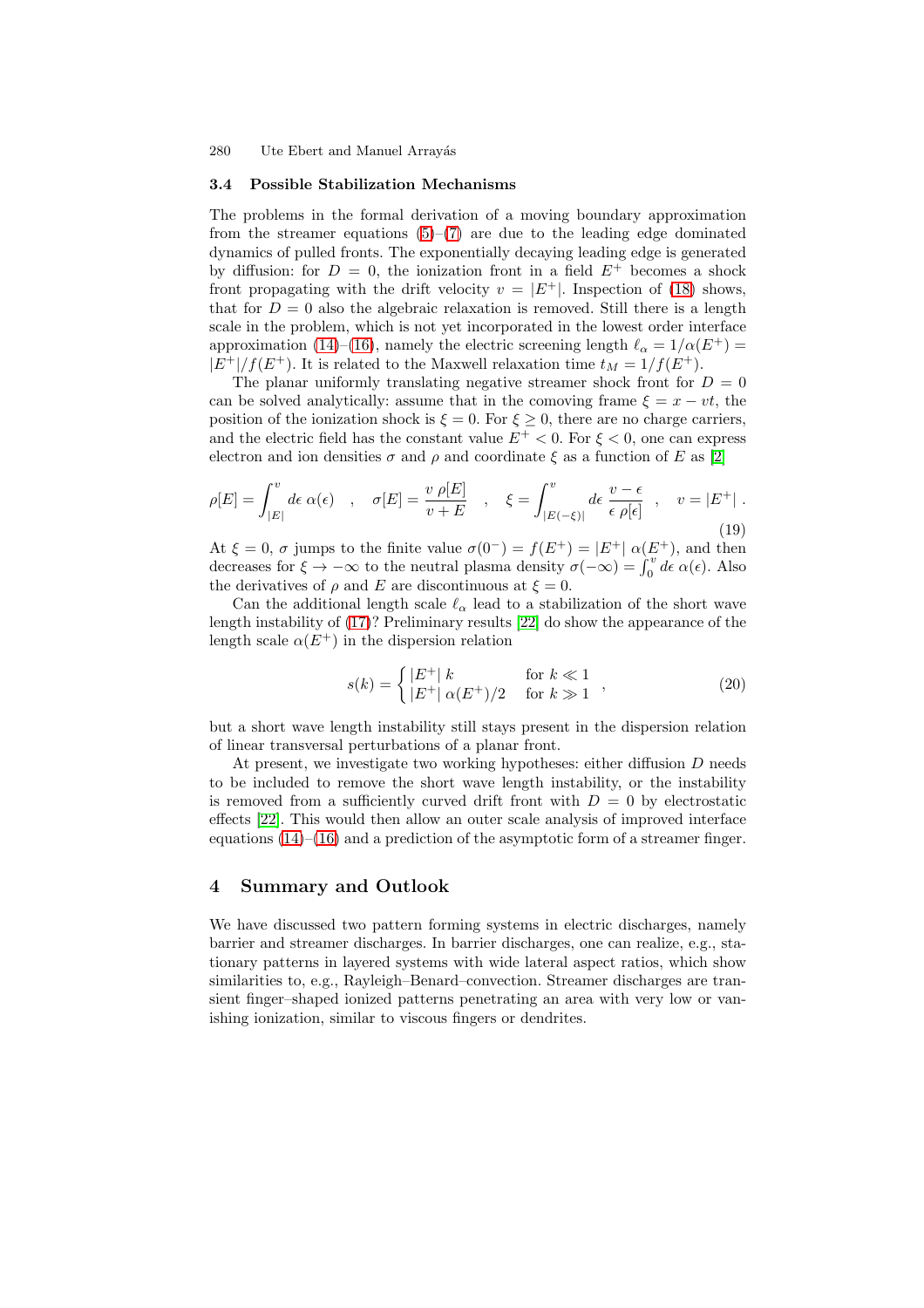### **3.4 Possible Stabilization Mechanisms**

The problems in the formal derivation of a moving boundary approximation from the streamer equations  $(5)$ – $(7)$  are due to the leading edge dominated dynamics of pulled fronts. The exponentially decaying leading edge is generated by diffusion: for  $D = 0$ , the ionization front in a field  $E^+$  becomes a shock front propagating with the drift velocity  $v = |E^+|$ . Inspection of [\(18\)](#page-9-0) shows, that for  $D = 0$  also the algebraic relaxation is removed. Still there is a length scale in the problem, which is not yet incorporated in the lowest order interface approximation [\(14\)](#page-7-0)–[\(16\)](#page-8-0), namely the electric screening length  $\ell_{\alpha} = 1/\alpha(E^{+}) =$  $|E^+|/f(E^+)|$ . It is related to the Maxwell relaxation time  $t_M = 1/f(E^+)|$ .

The planar uniformly translating negative streamer shock front for  $D = 0$ can be solved analytically: assume that in the comoving frame  $\xi = x - vt$ , the position of the ionization shock is  $\xi = 0$ . For  $\xi \ge 0$ , there are no charge carriers, and the electric field has the constant value  $E^+ < 0$ . For  $\xi < 0$ , one can express electron and ion densities  $\sigma$  and  $\rho$  and coordinate  $\xi$  as a function of E as [\[2\]](#page-11-0)

$$
\rho[E] = \int_{|E|}^{v} d\epsilon \, \alpha(\epsilon) \quad , \quad \sigma[E] = \frac{v \, \rho[E]}{v+E} \quad , \quad \xi = \int_{|E(-\xi)|}^{v} d\epsilon \, \frac{v-\epsilon}{\epsilon \, \rho[\epsilon]} \quad , \quad v = |E^+| \; .
$$
\n(19)

At  $\xi = 0$ ,  $\sigma$  jumps to the finite value  $\sigma(0^-) = f(E^+) = |E^+| \alpha(E^+)$ , and then decreases for  $\xi \to -\infty$  to the neutral plasma density  $\sigma(-\infty) = \int_0^v d\epsilon \alpha(\epsilon)$ . Also the derivatives of  $\rho$  and E are discontinuous at  $\xi = 0$ .

Can the additional length scale  $\ell_{\alpha}$  lead to a stabilization of the short wave length instability of [\(17\)](#page-8-0)? Preliminary results [\[22\]](#page-12-0) do show the appearance of the length scale  $\alpha(E^+)$  in the dispersion relation

$$
s(k) = \begin{cases} |E^+| \ k & \text{for } k \ll 1\\ |E^+| \ \alpha(E^+)/2 & \text{for } k \gg 1 \end{cases} \tag{20}
$$

but a short wave length instability still stays present in the dispersion relation of linear transversal perturbations of a planar front.

At present, we investigate two working hypotheses: either diffusion D needs to be included to remove the short wave length instability, or the instability is removed from a sufficiently curved drift front with  $D = 0$  by electrostatic effects [\[22\]](#page-12-0). This would then allow an outer scale analysis of improved interface equations  $(14)$ – $(16)$  and a prediction of the asymptotic form of a streamer finger.

### **4 Summary and Outlook**

We have discussed two pattern forming systems in electric discharges, namely barrier and streamer discharges. In barrier discharges, one can realize, e.g., stationary patterns in layered systems with wide lateral aspect ratios, which show similarities to, e.g., Rayleigh–Benard–convection. Streamer discharges are transient finger–shaped ionized patterns penetrating an area with very low or vanishing ionization, similar to viscous fingers or dendrites.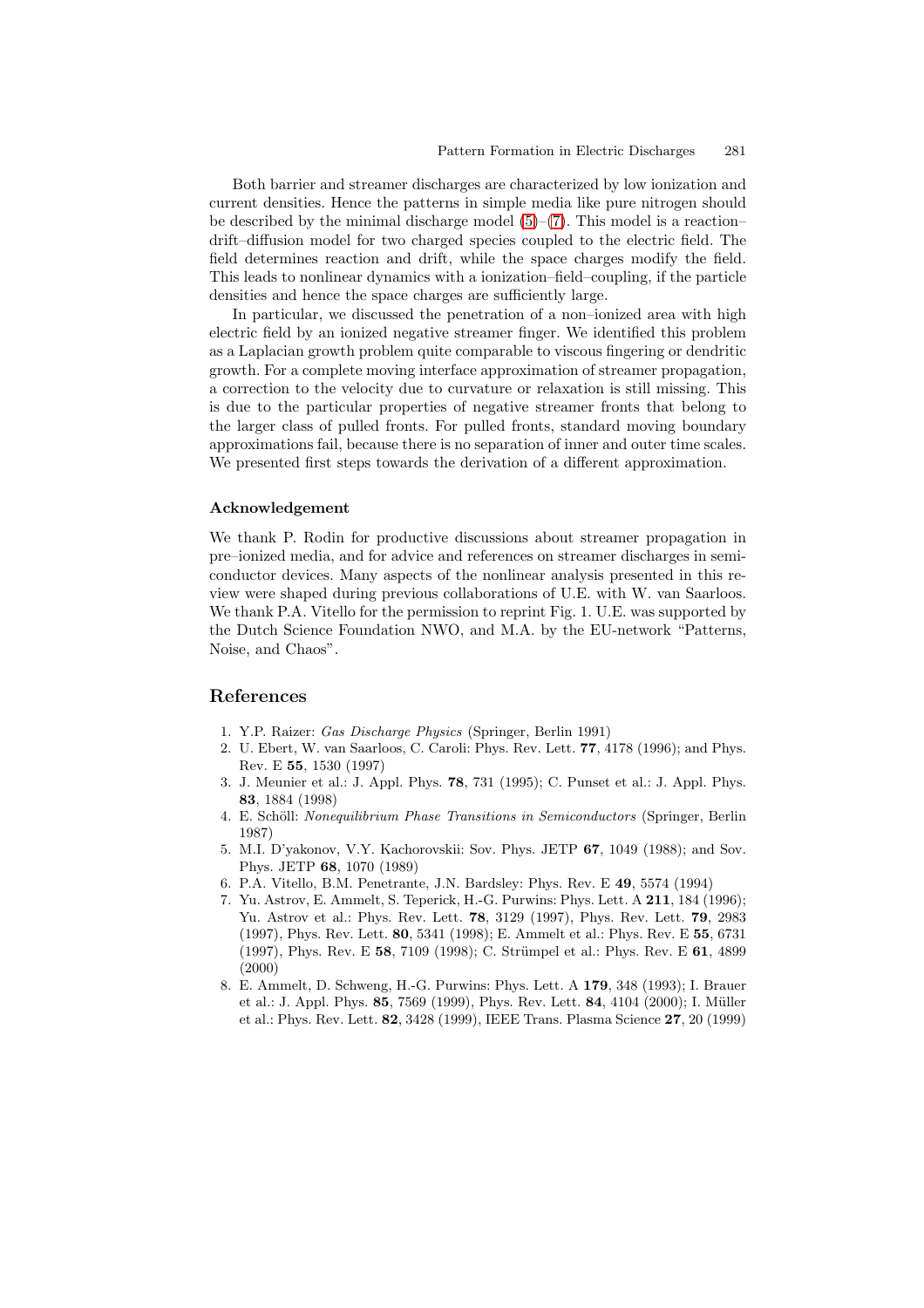<span id="page-11-0"></span>Both barrier and streamer discharges are characterized by low ionization and current densities. Hence the patterns in simple media like pure nitrogen should be described by the minimal discharge model [\(5\)](#page-2-0)–[\(7\)](#page-2-0). This model is a reaction– drift–diffusion model for two charged species coupled to the electric field. The field determines reaction and drift, while the space charges modify the field. This leads to nonlinear dynamics with a ionization–field–coupling, if the particle densities and hence the space charges are sufficiently large.

In particular, we discussed the penetration of a non–ionized area with high electric field by an ionized negative streamer finger. We identified this problem as a Laplacian growth problem quite comparable to viscous fingering or dendritic growth. For a complete moving interface approximation of streamer propagation, a correction to the velocity due to curvature or relaxation is still missing. This is due to the particular properties of negative streamer fronts that belong to the larger class of pulled fronts. For pulled fronts, standard moving boundary approximations fail, because there is no separation of inner and outer time scales. We presented first steps towards the derivation of a different approximation.

#### **Acknowledgement**

We thank P. Rodin for productive discussions about streamer propagation in pre–ionized media, and for advice and references on streamer discharges in semiconductor devices. Many aspects of the nonlinear analysis presented in this review were shaped during previous collaborations of U.E. with W. van Saarloos. We thank P.A. Vitello for the permission to reprint Fig. 1. U.E. was supported by the Dutch Science Foundation NWO, and M.A. by the EU-network "Patterns, Noise, and Chaos".

### **References**

- 1. Y.P. Raizer: Gas Discharge Physics (Springer, Berlin 1991)
- 2. U. Ebert, W. van Saarloos, C. Caroli: Phys. Rev. Lett. **77**, 4178 (1996); and Phys. Rev. E **55**, 1530 (1997)
- 3. J. Meunier et al.: J. Appl. Phys. **78**, 731 (1995); C. Punset et al.: J. Appl. Phys. **83**, 1884 (1998)
- 4. E. Schöll: Nonequilibrium Phase Transitions in Semiconductors (Springer, Berlin 1987)
- 5. M.I. D'yakonov, V.Y. Kachorovskii: Sov. Phys. JETP **67**, 1049 (1988); and Sov. Phys. JETP **68**, 1070 (1989)
- 6. P.A. Vitello, B.M. Penetrante, J.N. Bardsley: Phys. Rev. E **49**, 5574 (1994)
- 7. Yu. Astrov, E. Ammelt, S. Teperick, H.-G. Purwins: Phys. Lett. A **211**, 184 (1996); Yu. Astrov et al.: Phys. Rev. Lett. **78**, 3129 (1997), Phys. Rev. Lett. **79**, 2983 (1997), Phys. Rev. Lett. **80**, 5341 (1998); E. Ammelt et al.: Phys. Rev. E **55**, 6731 (1997), Phys. Rev. E 58, 7109 (1998); C. Strümpel et al.: Phys. Rev. E 61, 4899 (2000)
- 8. E. Ammelt, D. Schweng, H.-G. Purwins: Phys. Lett. A **179**, 348 (1993); I. Brauer et al.: J. Appl. Phys. 85, 7569 (1999), Phys. Rev. Lett. 84, 4104 (2000); I. Müller et al.: Phys. Rev. Lett. **82**, 3428 (1999), IEEE Trans. Plasma Science **27**, 20 (1999)